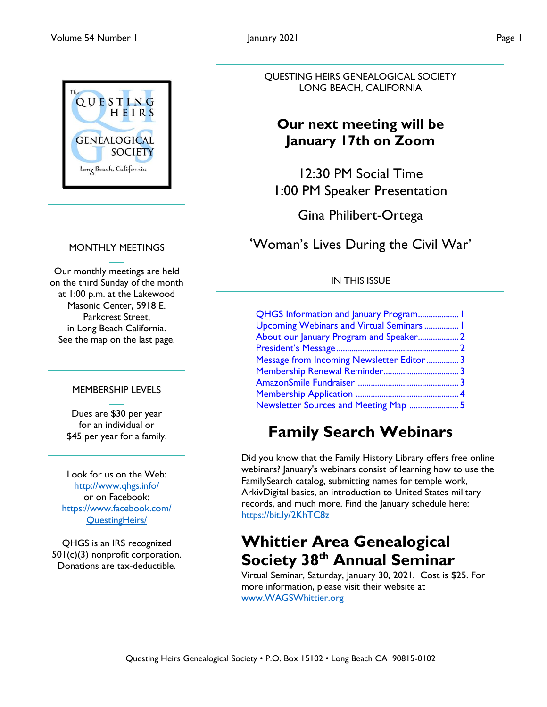

#### MONTHLY MEETINGS

Our monthly meetings are held on the third Sunday of the month at 1:00 p.m. at the Lakewood Masonic Center, 5918 E. Parkcrest Street, in Long Beach California. See the map on the last page.

#### MEMBERSHIP LEVELS

Dues are \$30 per year for an individual or \$45 per year for a family.

Look for us on the Web: <http://www.qhgs.info/> or on Facebook: [https://www.facebook.com/](https://www.facebook.com/%20QuestingHeirs/)  [QuestingHeirs/](https://www.facebook.com/%20QuestingHeirs/)

QHGS is an IRS recognized 501(c)(3) nonprofit corporation. Donations are tax-deductible.

QUESTING HEIRS GENEALOGICAL SOCIETY LONG BEACH, CALIFORNIA

### **Our next meeting will be January 17th on Zoom**

12:30 PM Social Time 1:00 PM Speaker Presentation

Gina Philibert-Ortega

'Woman's Lives During the Civil War'

#### IN THIS ISSUE

| QHGS Information and January Program 1     |  |
|--------------------------------------------|--|
| Upcoming Webinars and Virtual Seminars  1  |  |
| About our January Program and Speaker 2    |  |
|                                            |  |
| Message from Incoming Newsletter Editor  3 |  |
|                                            |  |
|                                            |  |
|                                            |  |
| Newsletter Sources and Meeting Map  5      |  |

## **Family Search Webinars**

Did you know that the Family History Library offers free online webinars? January's webinars consist of learning how to use the FamilySearch catalog, submitting names for temple work, ArkivDigital basics, an introduction to United States military records, and much more. Find the January schedule here: [https://bit.ly/2KhTC8z](https://l.facebook.com/l.php?u=https%3A%2F%2Fbit.ly%2F2KhTC8z%3Ffbclid%3DIwAR1xj6tOULejgeY_ILnT8p-qkLcBFECwJDG5ZIC1YzlC243rnhIYA8Ozdqs&h=AT0CBPSg9zeL8QijBTQfMd7emtXOkA2YdCyv2DBBWX-PautP0kjG-KVzKnJpriLun57unu2sXlrcXLZ_zEcsWtS0JYiSgu_Oh1bYNEaimFqkSZWSDweDK4AQOhluAZpAbrBfo15ae3VdqHzftQ&__tn__=-UK-y-R&c%5b0%5d=AT2wEXVc7yuhfiOaEVjelu66w4n0d-rafV-XmD9jX26h8-bQb5peMoysjZRdqW75RV_YXVt2DeixHVa1sUqJiLKejXZOoWFv6wrVw3Q4fdFlVhL0y2jDOe8QK_gY_byT0LNlQdmFd22G3AGW5_SJcZGuIdw3pixmfpxGHA-Lp0Pb7_KaVAL3dQdznToYIUA4i9KkBHwsgzGGil4HE6U4k_XoYH4sY8SyREDQua-8jdRXXa7ju0w)

### **Whittier Area Genealogical Society 38th Annual Seminar**

Virtual Seminar, Saturday, January 30, 2021. Cost is \$25. For more information, please visit their website at [www.WAGSWhittier.org](http://www.wagswhittier.org/)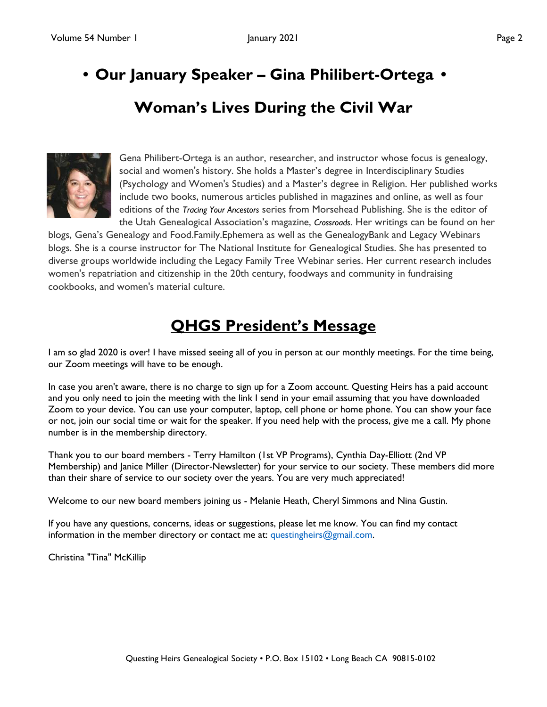## <span id="page-1-0"></span>**• Our January Speaker – Gina Philibert-Ortega •**

### **Woman's Lives During the Civil War**



Gena Philibert-Ortega is an author, researcher, and instructor whose focus is genealogy, social and women's history. She holds a Master's degree in Interdisciplinary Studies (Psychology and Women's Studies) and a Master's degree in Religion. Her published works include two books, numerous articles published in magazines and online, as well as four editions of the *Tracing Your Ancestors* series from Morsehead Publishing. She is the editor of the Utah Genealogical Association's magazine, *Crossroads*. Her writings can be found on her

blogs, Gena's Genealogy and Food.Family.Ephemera as well as the GenealogyBank and Legacy Webinars blogs. She is a course instructor for The National Institute for Genealogical Studies. She has presented to diverse groups worldwide including the Legacy Family Tree Webinar series. Her current research includes women's repatriation and citizenship in the 20th century, foodways and community in fundraising cookbooks, and women's material culture.

### **QHGS President's Message**

I am so glad 2020 is over! I have missed seeing all of you in person at our monthly meetings. For the time being, our Zoom meetings will have to be enough.

In case you aren't aware, there is no charge to sign up for a Zoom account. Questing Heirs has a paid account and you only need to join the meeting with the link I send in your email assuming that you have downloaded Zoom to your device. You can use your computer, laptop, cell phone or home phone. You can show your face or not, join our social time or wait for the speaker. If you need help with the process, give me a call. My phone number is in the membership directory.

Thank you to our board members - Terry Hamilton (1st VP Programs), Cynthia Day-Elliott (2nd VP Membership) and Janice Miller (Director-Newsletter) for your service to our society. These members did more than their share of service to our society over the years. You are very much appreciated!

Welcome to our new board members joining us - Melanie Heath, Cheryl Simmons and Nina Gustin.

If you have any questions, concerns, ideas or suggestions, please let me know. You can find my contact information in the member directory or contact me at: [questingheirs@gmail.com.](mailto:questingheirs@gmail.com)

Christina "Tina" McKillip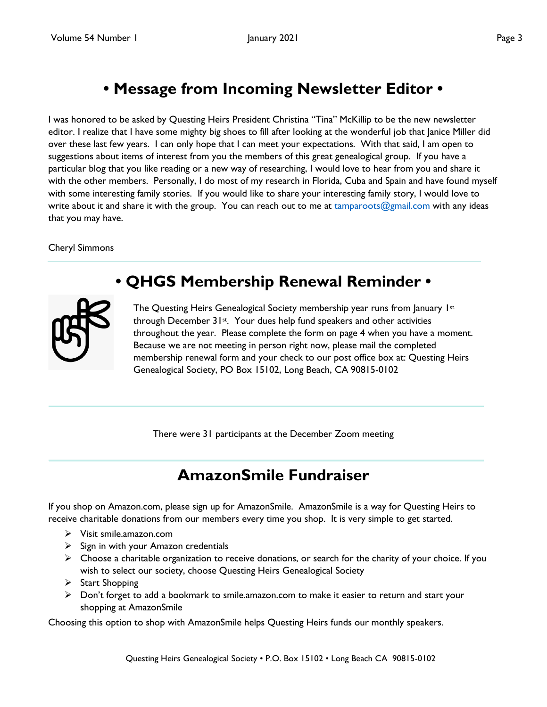### **• Message from Incoming Newsletter Editor •**

<span id="page-2-0"></span>I was honored to be asked by Questing Heirs President Christina "Tina" McKillip to be the new newsletter editor. I realize that I have some mighty big shoes to fill after looking at the wonderful job that Janice Miller did over these last few years. I can only hope that I can meet your expectations. With that said, I am open to suggestions about items of interest from you the members of this great genealogical group. If you have a particular blog that you like reading or a new way of researching, I would love to hear from you and share it with the other members. Personally, I do most of my research in Florida, Cuba and Spain and have found myself with some interesting family stories. If you would like to share your interesting family story, I would love to write about it and share it with the group. You can reach out to me at [tamparoots@gmail.com](mailto:tamparoots@gmail.com) with any ideas that you may have.

#### Cheryl Simmons



### **• QHGS Membership Renewal Reminder •**

The Questing Heirs Genealogical Society membership year runs from January  $1^{st}$ through December 31st. Your dues help fund speakers and other activities throughout the year. Please complete the form on page 4 when you have a moment. Because we are not meeting in person right now, please mail the completed membership renewal form and your check to our post office box at: Questing Heirs Genealogical Society, PO Box 15102, Long Beach, CA 90815-0102

There were 31 participants at the December Zoom meeting

### **AmazonSmile Fundraiser**

If you shop on Amazon.com, please sign up for AmazonSmile. AmazonSmile is a way for Questing Heirs to receive charitable donations from our members every time you shop. It is very simple to get started.

- Visit smile.amazon.com
- $\triangleright$  Sign in with your Amazon credentials
- $\triangleright$  Choose a charitable organization to receive donations, or search for the charity of your choice. If you wish to select our society, choose Questing Heirs Genealogical Society
- $\triangleright$  Start Shopping
- $\triangleright$  Don't forget to add a bookmark to smile.amazon.com to make it easier to return and start your shopping at AmazonSmile

Choosing this option to shop with AmazonSmile helps Questing Heirs funds our monthly speakers.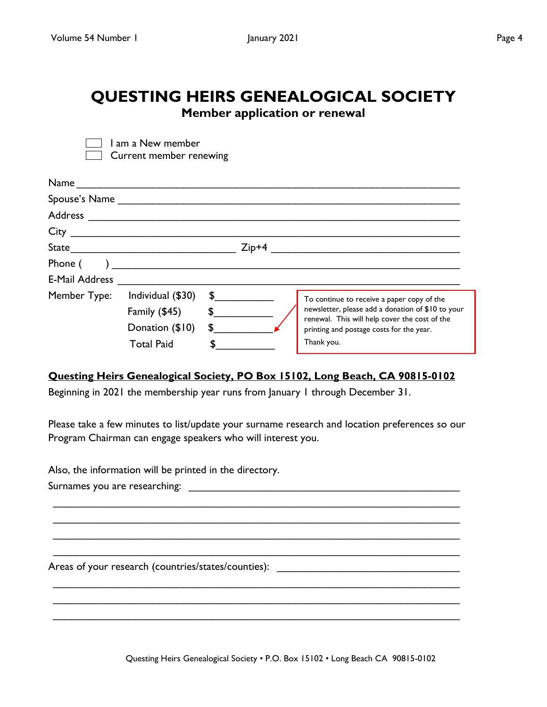I am a New member Current member renewing

# <span id="page-3-0"></span>**QUESTING HEIRS GENEALOGICAL SOCIETY**

**Member application or renewal**

|                | 50.1511511155115111511116                                                                                                                                                                                                                                                                                                                    |             |                                                                                                    |
|----------------|----------------------------------------------------------------------------------------------------------------------------------------------------------------------------------------------------------------------------------------------------------------------------------------------------------------------------------------------|-------------|----------------------------------------------------------------------------------------------------|
|                |                                                                                                                                                                                                                                                                                                                                              |             |                                                                                                    |
|                |                                                                                                                                                                                                                                                                                                                                              |             |                                                                                                    |
|                |                                                                                                                                                                                                                                                                                                                                              |             |                                                                                                    |
|                |                                                                                                                                                                                                                                                                                                                                              |             |                                                                                                    |
|                |                                                                                                                                                                                                                                                                                                                                              |             |                                                                                                    |
| Phone (        | $\sum_{i=1}^n\frac{1}{i!}\sum_{j=1}^n\frac{1}{j!}\sum_{j=1}^n\frac{1}{j!}\sum_{j=1}^n\frac{1}{j!}\sum_{j=1}^n\frac{1}{j!}\sum_{j=1}^n\frac{1}{j!}\sum_{j=1}^n\frac{1}{j!}\sum_{j=1}^n\frac{1}{j!}\sum_{j=1}^n\frac{1}{j!}\sum_{j=1}^n\frac{1}{j!}\sum_{j=1}^n\frac{1}{j!}\sum_{j=1}^n\frac{1}{j!}\sum_{j=1}^n\frac{1}{j!}\sum_{j=1}^n\frac{$ |             |                                                                                                    |
| E-Mail Address |                                                                                                                                                                                                                                                                                                                                              |             |                                                                                                    |
| Member Type:   | Individual (\$30)                                                                                                                                                                                                                                                                                                                            | $\sim$      | To continue to receive a paper copy of the                                                         |
|                | Family (\$45)                                                                                                                                                                                                                                                                                                                                | $\mathsf S$ | newsletter, please add a donation of \$10 to your<br>renewal. This will help cover the cost of the |
|                | Donation (\$10)                                                                                                                                                                                                                                                                                                                              | \$          | printing and postage costs for the year.                                                           |
|                | <b>Total Paid</b>                                                                                                                                                                                                                                                                                                                            |             | Thank you.                                                                                         |

#### **Questing Heirs Genealogical Society, PO Box 15102, Long Beach, CA 90815-0102**

Beginning in 2021 the membership year runs from January 1 through December 31.

Please take a few minutes to list/update your surname research and location preferences so our Program Chairman can engage speakers who will interest you.

\_\_\_\_\_\_\_\_\_\_\_\_\_\_\_\_\_\_\_\_\_\_\_\_\_\_\_\_\_\_\_\_\_\_\_\_\_\_\_\_\_\_\_\_\_\_\_\_\_\_\_\_\_\_\_\_\_\_\_\_\_\_\_\_\_\_\_\_\_ \_\_\_\_\_\_\_\_\_\_\_\_\_\_\_\_\_\_\_\_\_\_\_\_\_\_\_\_\_\_\_\_\_\_\_\_\_\_\_\_\_\_\_\_\_\_\_\_\_\_\_\_\_\_\_\_\_\_\_\_\_\_\_\_\_\_\_\_\_ \_\_\_\_\_\_\_\_\_\_\_\_\_\_\_\_\_\_\_\_\_\_\_\_\_\_\_\_\_\_\_\_\_\_\_\_\_\_\_\_\_\_\_\_\_\_\_\_\_\_\_\_\_\_\_\_\_\_\_\_\_\_\_\_\_\_\_\_\_ \_\_\_\_\_\_\_\_\_\_\_\_\_\_\_\_\_\_\_\_\_\_\_\_\_\_\_\_\_\_\_\_\_\_\_\_\_\_\_\_\_\_\_\_\_\_\_\_\_\_\_\_\_\_\_\_\_\_\_\_\_\_\_\_\_\_\_\_\_

\_\_\_\_\_\_\_\_\_\_\_\_\_\_\_\_\_\_\_\_\_\_\_\_\_\_\_\_\_\_\_\_\_\_\_\_\_\_\_\_\_\_\_\_\_\_\_\_\_\_\_\_\_\_\_\_\_\_\_\_\_\_\_\_\_\_\_\_\_ \_\_\_\_\_\_\_\_\_\_\_\_\_\_\_\_\_\_\_\_\_\_\_\_\_\_\_\_\_\_\_\_\_\_\_\_\_\_\_\_\_\_\_\_\_\_\_\_\_\_\_\_\_\_\_\_\_\_\_\_\_\_\_\_\_\_\_\_\_ \_\_\_\_\_\_\_\_\_\_\_\_\_\_\_\_\_\_\_\_\_\_\_\_\_\_\_\_\_\_\_\_\_\_\_\_\_\_\_\_\_\_\_\_\_\_\_\_\_\_\_\_\_\_\_\_\_\_\_\_\_\_\_\_\_\_\_\_\_

Also, the information will be printed in the directory.

Surnames you are researching:  $\Box$ 

Areas of your research (countries/states/counties): \_\_\_\_\_\_\_\_\_\_\_\_\_\_\_\_\_\_\_\_\_\_\_\_\_\_\_\_\_